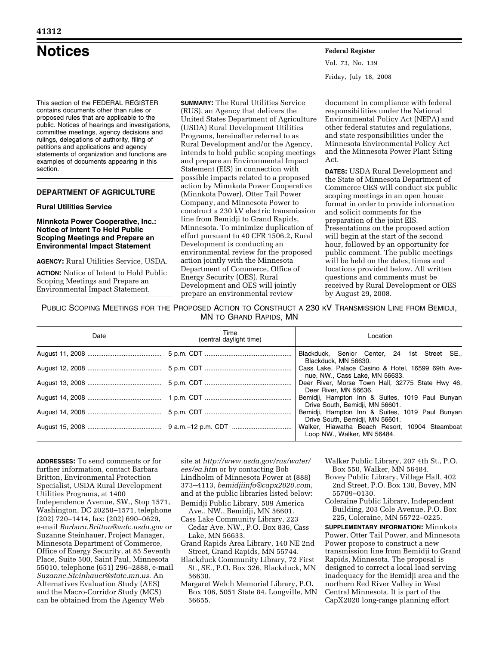# **Notices Federal Register**

Vol. 73, No. 139 Friday, July 18, 2008

This section of the FEDERAL REGISTER contains documents other than rules or proposed rules that are applicable to the public. Notices of hearings and investigations, committee meetings, agency decisions and rulings, delegations of authority, filing of petitions and applications and agency statements of organization and functions are examples of documents appearing in this section.

## **DEPARTMENT OF AGRICULTURE**

## **Rural Utilities Service**

## **Minnkota Power Cooperative, Inc.: Notice of Intent To Hold Public Scoping Meetings and Prepare an Environmental Impact Statement**

**AGENCY:** Rural Utilities Service, USDA.

**ACTION:** Notice of Intent to Hold Public Scoping Meetings and Prepare an Environmental Impact Statement.

**SUMMARY:** The Rural Utilities Service (RUS), an Agency that delivers the United States Department of Agriculture (USDA) Rural Development Utilities Programs, hereinafter referred to as Rural Development and/or the Agency, intends to hold public scoping meetings and prepare an Environmental Impact Statement (EIS) in connection with possible impacts related to a proposed action by Minnkota Power Cooperative (Minnkota Power), Otter Tail Power Company, and Minnesota Power to construct a 230 kV electric transmission line from Bemidji to Grand Rapids, Minnesota. To minimize duplication of effort pursuant to 40 CFR 1506.2, Rural Development is conducting an environmental review for the proposed action jointly with the Minnesota Department of Commerce, Office of Energy Security (OES). Rural Development and OES will jointly prepare an environmental review

document in compliance with federal responsibilities under the National Environmental Policy Act (NEPA) and other federal statutes and regulations, and state responsibilities under the Minnesota Environmental Policy Act and the Minnesota Power Plant Siting Act.

**DATES:** USDA Rural Development and the State of Minnesota Department of Commerce OES will conduct six public scoping meetings in an open house format in order to provide information and solicit comments for the preparation of the joint EIS. Presentations on the proposed action will begin at the start of the second hour, followed by an opportunity for public comment. The public meetings will be held on the dates, times and locations provided below. All written questions and comments must be received by Rural Development or OES by August 29, 2008.

PUBLIC SCOPING MEETINGS FOR THE PROPOSED ACTION TO CONSTRUCT A 230 KV TRANSMISSION LINE FROM BEMIDJI, MN TO GRAND RAPIDS, MN

| Date | Time<br>(central daylight time) | Location                                                                            |
|------|---------------------------------|-------------------------------------------------------------------------------------|
|      |                                 | Blackduck, Senior Center, 24 1st Street SE.,<br>Blackduck, MN 56630.                |
|      |                                 | Cass Lake, Palace Casino & Hotel, 16599 69th Ave-<br>nue, NW., Cass Lake, MN 56633. |
|      |                                 | Deer River, Morse Town Hall, 32775 State Hwy 46,<br>Deer River, MN 56636.           |
|      |                                 | Bemidji, Hampton Inn & Suites, 1019 Paul Bunyan<br>Drive South, Bemidii, MN 56601.  |
|      |                                 | Bemidji, Hampton Inn & Suites, 1019 Paul Bunyan<br>Drive South, Bemidii, MN 56601.  |
|      |                                 | Walker, Hiawatha Beach Resort, 10904 Steamboat<br>Loop NW., Walker, MN 56484.       |

**ADDRESSES:** To send comments or for further information, contact Barbara Britton, Environmental Protection Specialist, USDA Rural Development Utilities Programs, at 1400 Independence Avenue, SW., Stop 1571, Washington, DC 20250–1571, telephone (202) 720–1414, fax: (202) 690–0629, e-mail *Barbara.Britton@wdc.usda.gov* or Suzanne Steinhauer, Project Manager, Minnesota Department of Commerce, Office of Energy Security, at 85 Seventh Place, Suite 500, Saint Paul, Minnesota 55010, telephone (651) 296–2888, e-mail *Suzanne.Steinhauer@state.mn.us*. An Alternatives Evaluation Study (AES) and the Macro-Corridor Study (MCS) can be obtained from the Agency Web

site at *http://www.usda.gov/rus/water/ ees/ea.htm* or by contacting Bob Lindholm of Minnesota Power at (888) 373–4113, *bemidjiinfo@capx2020.com*, and at the public libraries listed below:

- Bemidji Public Library, 509 America Ave., NW., Bemidji, MN 56601.
- Cass Lake Community Library, 223 Cedar Ave. NW., P.O. Box 836, Cass Lake, MN 56633.
- Grand Rapids Area Library, 140 NE 2nd Street, Grand Rapids, MN 55744.
- Blackduck Community Library, 72 First St., SE., P.O. Box 326, Blackduck, MN 56630.
- Margaret Welch Memorial Library, P.O. Box 106, 5051 State 84, Longville, MN 56655.
- Walker Public Library, 207 4th St., P.O. Box 550, Walker, MN 56484.
- Bovey Public Library, Village Hall, 402 2nd Street, P.O. Box 130, Bovey, MN 55709–0130.
- Coleraine Public Library, Independent Building, 203 Cole Avenue, P.O. Box 225, Coleraine, MN 55722–0225.

**SUPPLEMENTARY INFORMATION:** Minnkota Power, Otter Tail Power, and Minnesota Power propose to construct a new transmission line from Bemidji to Grand Rapids, Minnesota. The proposal is designed to correct a local load serving inadequacy for the Bemidji area and the northern Red River Valley in West Central Minnesota. It is part of the CapX2020 long-range planning effort